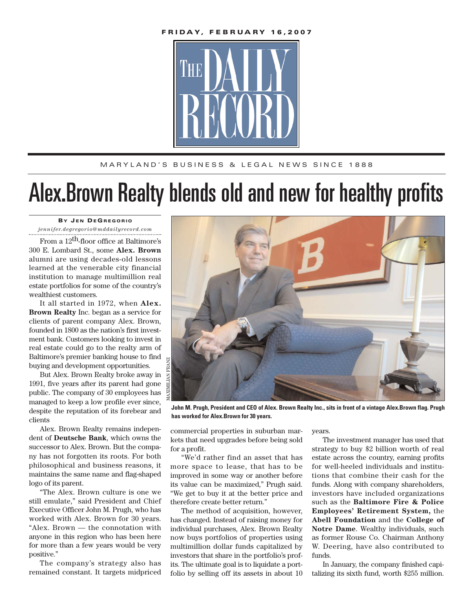## **FR IDAY, FEBRUARY 16 ,2007**



MARYLAND'S BUSINESS & LEGAL NEWS SINCE 1888

## Alex.Brown Realty blends old and new for healthy profits

## **BY J E N DEGREGORIO**

*jennifer.degregorio@mddailyrecord.com*

From a 12th-floor office at Baltimore's 300 E. Lombard St., some **Alex. Brown** alumni are using decades-old lessons learned at the venerable city financial institution to manage multimillion real estate portfolios for some of the country's wealthiest customers.

It all started in 1972, when **Alex. Brown Realty** Inc. began as a service for clients of parent company Alex. Brown, founded in 1800 as the nation's first investment bank. Customers looking to invest in real estate could go to the realty arm of Baltimore's premier banking house to find buying and development opportunities.

But Alex. Brown Realty broke away in 1991, five years after its parent had gone public. The company of 30 employees has managed to keep a low profile ever since, despite the reputation of its forebear and clients

Alex. Brown Realty remains independent of **Deutsche Bank**, which owns the successor to Alex. Brown. But the company has not forgotten its roots. For both philosophical and business reasons, it maintains the same name and flag-shaped logo of its parent.

"The Alex. Brown culture is one we still emulate," said President and Chief Executive Officer John M. Prugh, who has worked with Alex. Brown for 30 years. "Alex. Brown — the connotation with anyone in this region who has been here for more than a few years would be very positive."

The company's strategy also has remained constant. It targets midpriced



**John M. Prugh, President and CEO of Alex. Brown Realty Inc., sits in front of a vintage Alex.Brown flag. Prugh has worked for Alex.Brown for 30 years.**

commercial properties in suburban markets that need upgrades before being sold for a profit.

"We'd rather find an asset that has more space to lease, that has to be improved in some way or another before its value can be maximized," Prugh said. "We get to buy it at the better price and therefore create better return."

The method of acquisition, however, has changed. Instead of raising money for individual purchases, Alex. Brown Realty now buys portfolios of properties using multimillion dollar funds capitalized by investors that share in the portfolio's profits. The ultimate goal is to liquidate a portfolio by selling off its assets in about 10 years.

The investment manager has used that strategy to buy \$2 billion worth of real estate across the country, earning profits for well-heeled individuals and institutions that combine their cash for the funds. Along with company shareholders, investors have included organizations such as the **Baltimore Fire & Police Employees' Retirement System,** the **Abell Foundation** and the **College of Notre Dame**. Wealthy individuals, such as former Rouse Co. Chairman Anthony W. Deering, have also contributed to funds.

In January, the company finished capitalizing its sixth fund, worth \$255 million.